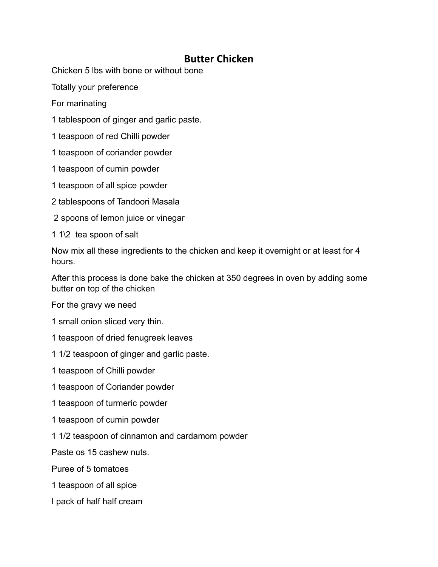## **Butter Chicken**

Chicken 5 lbs with bone or without bone

Totally your preference

For marinating

1 tablespoon of ginger and garlic paste.

1 teaspoon of red Chilli powder

1 teaspoon of coriander powder

1 teaspoon of cumin powder

- 1 teaspoon of all spice powder
- 2 tablespoons of Tandoori Masala
- 2 spoons of lemon juice or vinegar

1 1\2 tea spoon of salt

Now mix all these ingredients to the chicken and keep it overnight or at least for 4 hours.

After this process is done bake the chicken at 350 degrees in oven by adding some butter on top of the chicken

For the gravy we need

1 small onion sliced very thin.

- 1 teaspoon of dried fenugreek leaves
- 1 1/2 teaspoon of ginger and garlic paste.

1 teaspoon of Chilli powder

- 1 teaspoon of Coriander powder
- 1 teaspoon of turmeric powder
- 1 teaspoon of cumin powder
- 1 1/2 teaspoon of cinnamon and cardamom powder

Paste os 15 cashew nuts.

Puree of 5 tomatoes

- 1 teaspoon of all spice
- I pack of half half cream